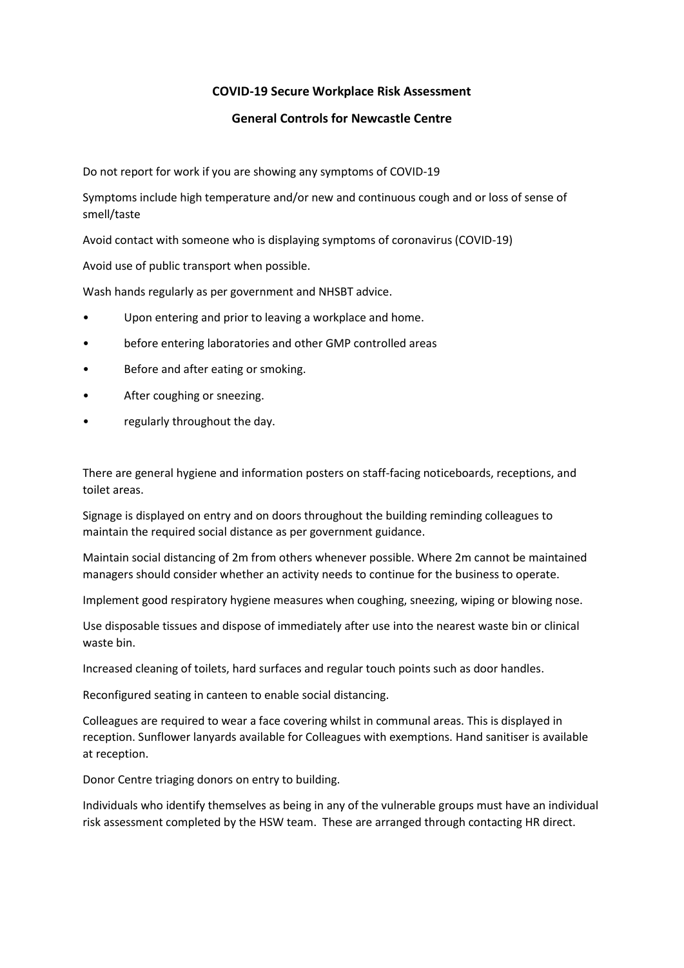# **COVID-19 Secure Workplace Risk Assessment**

#### **General Controls for Newcastle Centre**

Do not report for work if you are showing any symptoms of COVID-19

Symptoms include high temperature and/or new and continuous cough and or loss of sense of smell/taste

Avoid contact with someone who is displaying symptoms of coronavirus (COVID-19)

Avoid use of public transport when possible.

Wash hands regularly as per government and NHSBT advice.

- Upon entering and prior to leaving a workplace and home.
- before entering laboratories and other GMP controlled areas
- Before and after eating or smoking.
- After coughing or sneezing.
- regularly throughout the day.

There are general hygiene and information posters on staff-facing noticeboards, receptions, and toilet areas.

Signage is displayed on entry and on doors throughout the building reminding colleagues to maintain the required social distance as per government guidance.

Maintain social distancing of 2m from others whenever possible. Where 2m cannot be maintained managers should consider whether an activity needs to continue for the business to operate.

Implement good respiratory hygiene measures when coughing, sneezing, wiping or blowing nose.

Use disposable tissues and dispose of immediately after use into the nearest waste bin or clinical waste bin.

Increased cleaning of toilets, hard surfaces and regular touch points such as door handles.

Reconfigured seating in canteen to enable social distancing.

Colleagues are required to wear a face covering whilst in communal areas. This is displayed in reception. Sunflower lanyards available for Colleagues with exemptions. Hand sanitiser is available at reception.

Donor Centre triaging donors on entry to building.

Individuals who identify themselves as being in any of the vulnerable groups must have an individual risk assessment completed by the HSW team. These are arranged through contacting HR direct.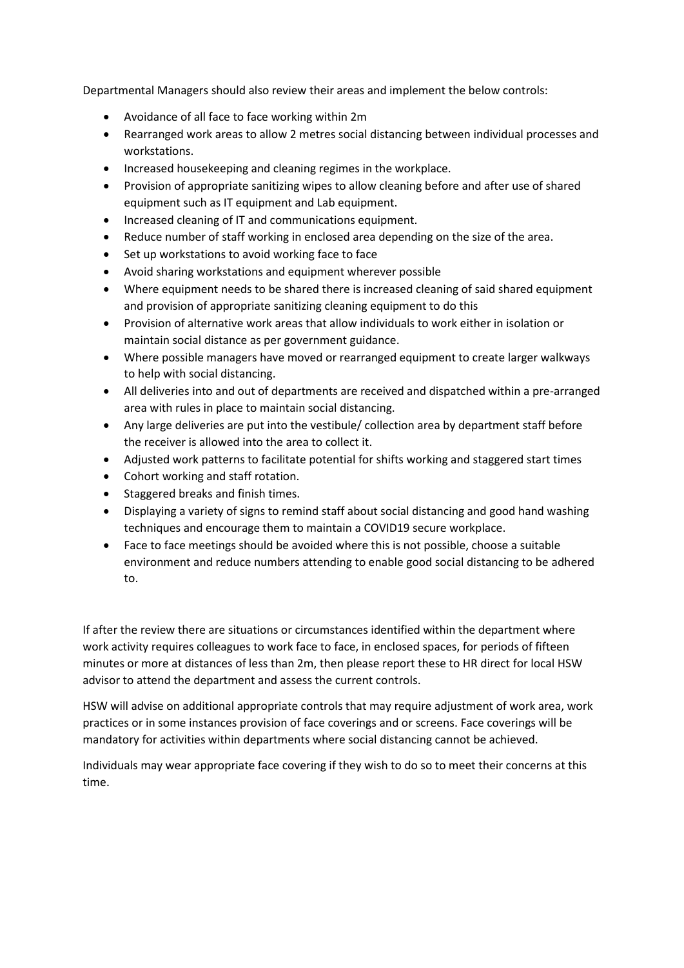Departmental Managers should also review their areas and implement the below controls:

- Avoidance of all face to face working within 2m
- Rearranged work areas to allow 2 metres social distancing between individual processes and workstations.
- Increased housekeeping and cleaning regimes in the workplace.
- Provision of appropriate sanitizing wipes to allow cleaning before and after use of shared equipment such as IT equipment and Lab equipment.
- Increased cleaning of IT and communications equipment.
- Reduce number of staff working in enclosed area depending on the size of the area.
- Set up workstations to avoid working face to face
- Avoid sharing workstations and equipment wherever possible
- Where equipment needs to be shared there is increased cleaning of said shared equipment and provision of appropriate sanitizing cleaning equipment to do this
- Provision of alternative work areas that allow individuals to work either in isolation or maintain social distance as per government guidance.
- Where possible managers have moved or rearranged equipment to create larger walkways to help with social distancing.
- All deliveries into and out of departments are received and dispatched within a pre-arranged area with rules in place to maintain social distancing.
- Any large deliveries are put into the vestibule/ collection area by department staff before the receiver is allowed into the area to collect it.
- Adjusted work patterns to facilitate potential for shifts working and staggered start times
- Cohort working and staff rotation.
- Staggered breaks and finish times.
- Displaying a variety of signs to remind staff about social distancing and good hand washing techniques and encourage them to maintain a COVID19 secure workplace.
- Face to face meetings should be avoided where this is not possible, choose a suitable environment and reduce numbers attending to enable good social distancing to be adhered to.

If after the review there are situations or circumstances identified within the department where work activity requires colleagues to work face to face, in enclosed spaces, for periods of fifteen minutes or more at distances of less than 2m, then please report these to HR direct for local HSW advisor to attend the department and assess the current controls.

HSW will advise on additional appropriate controls that may require adjustment of work area, work practices or in some instances provision of face coverings and or screens. Face coverings will be mandatory for activities within departments where social distancing cannot be achieved.

Individuals may wear appropriate face covering if they wish to do so to meet their concerns at this time.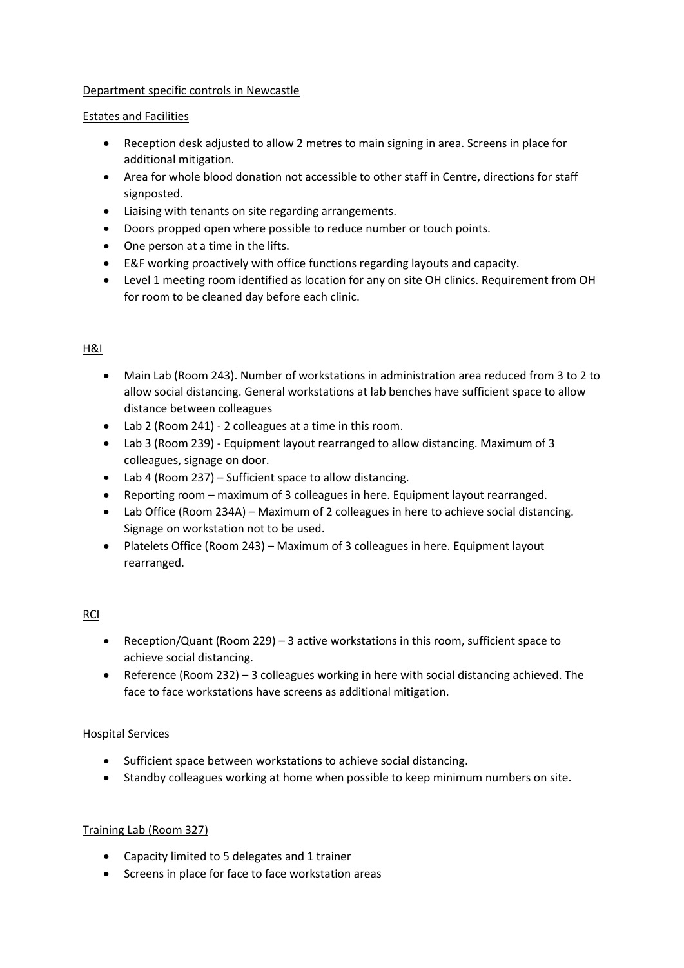#### Department specific controls in Newcastle

#### Estates and Facilities

- Reception desk adjusted to allow 2 metres to main signing in area. Screens in place for additional mitigation.
- Area for whole blood donation not accessible to other staff in Centre, directions for staff signposted.
- Liaising with tenants on site regarding arrangements.
- Doors propped open where possible to reduce number or touch points.
- One person at a time in the lifts.
- E&F working proactively with office functions regarding layouts and capacity.
- Level 1 meeting room identified as location for any on site OH clinics. Requirement from OH for room to be cleaned day before each clinic.

# H&I

- Main Lab (Room 243). Number of workstations in administration area reduced from 3 to 2 to allow social distancing. General workstations at lab benches have sufficient space to allow distance between colleagues
- Lab 2 (Room 241) 2 colleagues at a time in this room.
- Lab 3 (Room 239) Equipment layout rearranged to allow distancing. Maximum of 3 colleagues, signage on door.
- Lab 4 (Room 237) Sufficient space to allow distancing.
- Reporting room maximum of 3 colleagues in here. Equipment layout rearranged.
- Lab Office (Room 234A) Maximum of 2 colleagues in here to achieve social distancing. Signage on workstation not to be used.
- Platelets Office (Room 243) Maximum of 3 colleagues in here. Equipment layout rearranged.

# RCI

- Reception/Quant (Room 229) 3 active workstations in this room, sufficient space to achieve social distancing.
- Reference (Room 232) 3 colleagues working in here with social distancing achieved. The face to face workstations have screens as additional mitigation.

# Hospital Services

- Sufficient space between workstations to achieve social distancing.
- Standby colleagues working at home when possible to keep minimum numbers on site.

# Training Lab (Room 327)

- Capacity limited to 5 delegates and 1 trainer
- Screens in place for face to face workstation areas